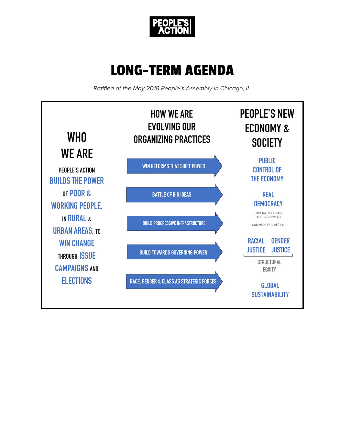

# LONG-TERM AGENDA

Ratified at the May 2018 People's Assembly in Chicago, IL

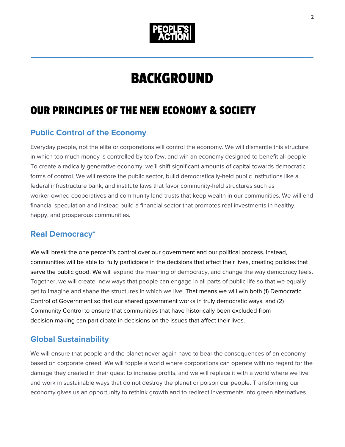

# BACKGROUND

 $\mathcal{L}_\text{max}$  and  $\mathcal{L}_\text{max}$  and  $\mathcal{L}_\text{max}$  and  $\mathcal{L}_\text{max}$  and  $\mathcal{L}_\text{max}$ 

# OUR PRINCIPLES OF THE NEW ECONOMY & SOCIETY

# **Public Control of the Economy**

Everyday people, not the elite or corporations will control the economy. We will dismantle this structure in which too much money is controlled by too few, and win an economy designed to benefit all people To create a radically generative economy, we'll shift significant amounts of capital towards democratic forms of control. We will restore the public sector, build democratically-held public institutions like a federal infrastructure bank, and institute laws that favor community-held structures such as worker-owned cooperatives and community land trusts that keep wealth in our communities. We will end financial speculation and instead build a financial sector that promotes real investments in healthy, happy, and prosperous communities.

# **Real Democracy\***

We will break the one percent's control over our government and our political process. Instead, communities will be able to fully participate in the decisions that affect their lives, creating policies that serve the public good. We will expand the meaning of democracy, and change the way democracy feels. Together, we will create new ways that people can engage in all parts of public life so that we equally get to imagine and shape the structures in which we live. That means we will win both (1) Democratic Control of Government so that our shared government works in truly democratic ways, and (2) Community Control to ensure that communities that have historically been excluded from decision-making can participate in decisions on the issues that affect their lives.

# **Global Sustainability**

We will ensure that people and the planet never again have to bear the consequences of an economy based on corporate greed. We will topple a world where corporations can operate with no regard for the damage they created in their quest to increase profits, and we will replace it with a world where we live and work in sustainable ways that do not destroy the planet or poison our people. Transforming our economy gives us an opportunity to rethink growth and to redirect investments into green alternatives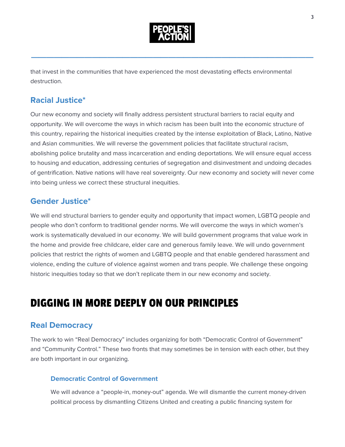

that invest in the communities that have experienced the most devastating effects environmental destruction.

# **Racial Justice\***

Our new economy and society will finally address persistent structural barriers to racial equity and opportunity. We will overcome the ways in which racism has been built into the economic structure of this country, repairing the historical inequities created by the intense exploitation of Black, Latino, Native and Asian communities. We will reverse the government policies that facilitate structural racism, abolishing police brutality and mass incarceration and ending deportations. We will ensure equal access to housing and education, addressing centuries of segregation and disinvestment and undoing decades of gentrification. Native nations will have real sovereignty. Our new economy and society will never come into being unless we correct these structural inequities.

### **Gender Justice\***

We will end structural barriers to gender equity and opportunity that impact women, LGBTQ people and people who don't conform to traditional gender norms. We will overcome the ways in which women's work is systematically devalued in our economy. We will build government programs that value work in the home and provide free childcare, elder care and generous family leave. We will undo government policies that restrict the rights of women and LGBTQ people and that enable gendered harassment and violence, ending the culture of violence against women and trans people. We challenge these ongoing historic inequities today so that we don't replicate them in our new economy and society.

# DIGGING IN MORE DEEPLY ON OUR PRINCIPLES

# **Real Democracy**

The work to win "Real Democracy" includes organizing for both "Democratic Control of Government" and "Community Control." These two fronts that may sometimes be in tension with each other, but they are both important in our organizing.

#### **Democratic Control of Government**

We will advance a "people-in, money-out" agenda. We will dismantle the current money-driven political process by dismantling Citizens United and creating a public financing system for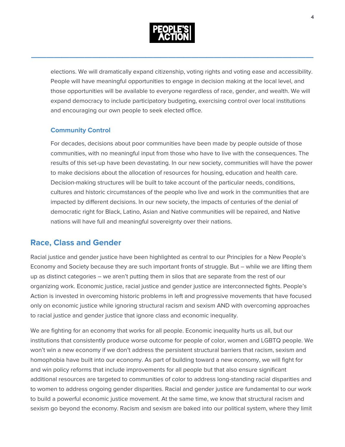

elections. We will dramatically expand citizenship, voting rights and voting ease and accessibility. People will have meaningful opportunities to engage in decision making at the local level, and those opportunities will be available to everyone regardless of race, gender, and wealth. We will expand democracy to include participatory budgeting, exercising control over local institutions and encouraging our own people to seek elected office.

#### **Community Control**

For decades, decisions about poor communities have been made by people outside of those communities, with no meaningful input from those who have to live with the consequences. The results of this set-up have been devastating. In our new society, communities will have the power to make decisions about the allocation of resources for housing, education and health care. Decision-making structures will be built to take account of the particular needs, conditions, cultures and historic circumstances of the people who live and work in the communities that are impacted by different decisions. In our new society, the impacts of centuries of the denial of democratic right for Black, Latino, Asian and Native communities will be repaired, and Native nations will have full and meaningful sovereignty over their nations.

#### **Race, Class and Gender**

Racial justice and gender justice have been highlighted as central to our Principles for a New People's Economy and Society because they are such important fronts of struggle. But – while we are lifting them up as distinct categories – we aren't putting them in silos that are separate from the rest of our organizing work. Economic justice, racial justice and gender justice are interconnected fights. People's Action is invested in overcoming historic problems in left and progressive movements that have focused only on economic justice while ignoring structural racism and sexism AND with overcoming approaches to racial justice and gender justice that ignore class and economic inequality.

We are fighting for an economy that works for all people. Economic inequality hurts us all, but our institutions that consistently produce worse outcome for people of color, women and LGBTQ people. We won't win a new economy if we don't address the persistent structural barriers that racism, sexism and homophobia have built into our economy. As part of building toward a new economy, we will fight for and win policy reforms that include improvements for all people but that also ensure significant additional resources are targeted to communities of color to address long-standing racial disparities and to women to address ongoing gender disparities. Racial and gender justice are fundamental to our work to build a powerful economic justice movement. At the same time, we know that structural racism and sexism go beyond the economy. Racism and sexism are baked into our political system, where they limit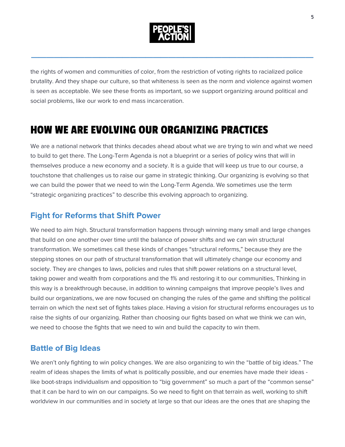

the rights of women and communities of color, from the restriction of voting rights to racialized police brutality. And they shape our culture, so that whiteness is seen as the norm and violence against women is seen as acceptable. We see these fronts as important, so we support organizing around political and social problems, like our work to end mass incarceration.

# HOW WE ARE EVOLVING OUR ORGANIZING PRACTICES

We are a national network that thinks decades ahead about what we are trying to win and what we need to build to get there. The Long-Term Agenda is not a blueprint or a series of policy wins that will in themselves produce a new economy and a society. It is a guide that will keep us true to our course, a touchstone that challenges us to raise our game in strategic thinking. Our organizing is evolving so that we can build the power that we need to win the Long-Term Agenda. We sometimes use the term "strategic organizing practices" to describe this evolving approach to organizing.

# **Fight for Reforms that Shift Power**

We need to aim high. Structural transformation happens through winning many small and large changes that build on one another over time until the balance of power shifts and we can win structural transformation. We sometimes call these kinds of changes "structural reforms," because they are the stepping stones on our path of structural transformation that will ultimately change our economy and society. They are changes to laws, policies and rules that shift power relations on a structural level, taking power and wealth from corporations and the 1% and restoring it to our communities, Thinking in this way is a breakthrough because, in addition to winning campaigns that improve people's lives and build our organizations, we are now focused on changing the rules of the game and shifting the political terrain on which the next set of fights takes place. Having a vision for structural reforms encourages us to raise the sights of our organizing. Rather than choosing our fights based on what we think we can win, we need to choose the fights that we need to win and build the capacity to win them.

# **Battle of Big Ideas**

We aren't only fighting to win policy changes. We are also organizing to win the "battle of big ideas." The realm of ideas shapes the limits of what is politically possible, and our enemies have made their ideas like boot-straps individualism and opposition to "big government" so much a part of the "common sense" that it can be hard to win on our campaigns. So we need to fight on that terrain as well, working to shift worldview in our communities and in society at large so that our ideas are the ones that are shaping the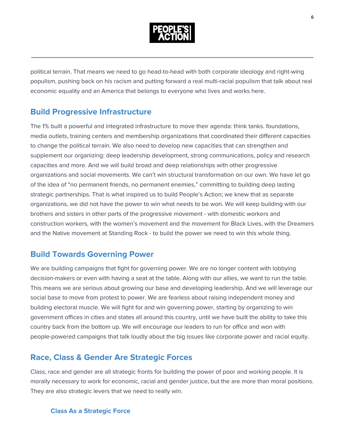

political terrain. That means we need to go head-to-head with both corporate ideology and right-wing populism, pushing back on his racism and putting forward a real multi-racial populism that talk about real economic equality and an America that belongs to everyone who lives and works here.

### **Build Progressive Infrastructure**

The 1% built a powerful and integrated infrastructure to move their agenda: think tanks. foundations, media outlets, training centers and membership organizations that coordinated their different capacities to change the political terrain. We also need to develop new capacities that can strengthen and supplement our organizing: deep leadership development, strong communications, policy and research capacities and more. And we will build broad and deep relationships with other progressive organizations and social movements. We can't win structural transformation on our own. We have let go of the idea of "no permanent friends, no permanent enemies," committing to building deep lasting strategic partnerships. That is what inspired us to build People's Action; we knew that as separate organizations, we did not have the power to win what needs to be won. We will keep building with our brothers and sisters in other parts of the progressive movement - with domestic workers and construction workers, with the women's movement and the movement for Black Lives, with the Dreamers and the Native movement at Standing Rock - to build the power we need to win this whole thing.

### **Build Towards Governing Power**

We are building campaigns that fight for governing power. We are no longer content with lobbying decision-makers or even with having a seat at the table. Along with our allies, we want to run the table. This means we are serious about growing our base and developing leadership. And we will leverage our social base to move from protest to power. We are fearless about raising independent money and building electoral muscle. We will fight for and win governing power, starting by organizing to win government offices in cities and states all around this country, until we have built the ability to take this country back from the bottom up. We will encourage our leaders to run for office and won with people-powered campaigns that talk loudly about the big issues like corporate power and racial equity.

# **Race, Class & Gender Are Strategic Forces**

Class, race and gender are all strategic fronts for building the power of poor and working people. It is morally necessary to work for economic, racial and gender justice, but the are more than moral positions. They are also strategic levers that we need to really win.

#### **Class As a Strategic Force**